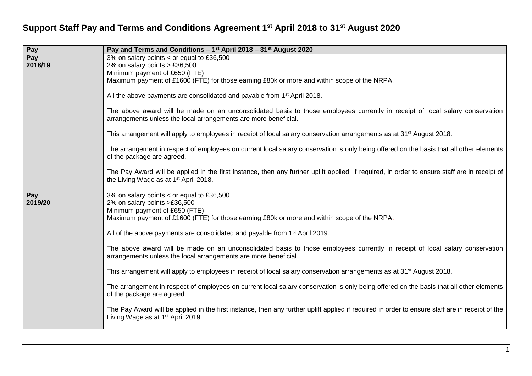## **Support Staff Pay and Terms and Conditions Agreement 1 st April 2018 to 31st August 2020**

| Pay     | Pay and Terms and Conditions - 1 <sup>st</sup> April 2018 - 31 <sup>st</sup> August 2020                                                                                                           |
|---------|----------------------------------------------------------------------------------------------------------------------------------------------------------------------------------------------------|
| Pay     | 3% on salary points < or equal to £36,500                                                                                                                                                          |
| 2018/19 | 2% on salary points $> \text{\pounds}36,500$<br>Minimum payment of £650 (FTE)                                                                                                                      |
|         | Maximum payment of £1600 (FTE) for those earning £80k or more and within scope of the NRPA.                                                                                                        |
|         |                                                                                                                                                                                                    |
|         | All the above payments are consolidated and payable from 1 <sup>st</sup> April 2018.                                                                                                               |
|         | The above award will be made on an unconsolidated basis to those employees currently in receipt of local salary conservation<br>arrangements unless the local arrangements are more beneficial.    |
|         | This arrangement will apply to employees in receipt of local salary conservation arrangements as at 31 <sup>st</sup> August 2018.                                                                  |
|         | The arrangement in respect of employees on current local salary conservation is only being offered on the basis that all other elements<br>of the package are agreed.                              |
|         | The Pay Award will be applied in the first instance, then any further uplift applied, if required, in order to ensure staff are in receipt of<br>the Living Wage as at 1 <sup>st</sup> April 2018. |
| Pay     | 3% on salary points < or equal to £36,500                                                                                                                                                          |
| 2019/20 | 2% on salary points >£36,500                                                                                                                                                                       |
|         | Minimum payment of £650 (FTE)<br>Maximum payment of £1600 (FTE) for those earning £80k or more and within scope of the NRPA.                                                                       |
|         | All of the above payments are consolidated and payable from 1 <sup>st</sup> April 2019.                                                                                                            |
|         | The above award will be made on an unconsolidated basis to those employees currently in receipt of local salary conservation<br>arrangements unless the local arrangements are more beneficial.    |
|         | This arrangement will apply to employees in receipt of local salary conservation arrangements as at 31 <sup>st</sup> August 2018.                                                                  |
|         | The arrangement in respect of employees on current local salary conservation is only being offered on the basis that all other elements<br>of the package are agreed.                              |
|         | The Pay Award will be applied in the first instance, then any further uplift applied if required in order to ensure staff are in receipt of the<br>Living Wage as at 1 <sup>st</sup> April 2019.   |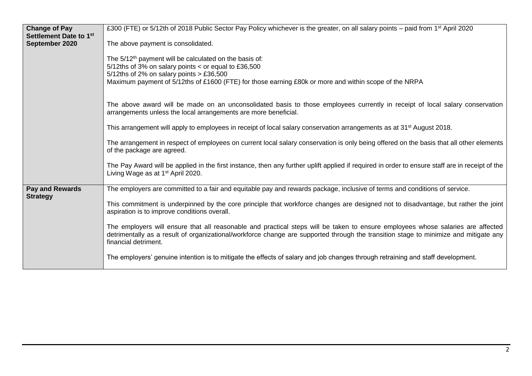| <b>Change of Pay</b>                      | £300 (FTE) or 5/12th of 2018 Public Sector Pay Policy whichever is the greater, on all salary points – paid from 1 <sup>st</sup> April 2020                                                                                                                                                     |
|-------------------------------------------|-------------------------------------------------------------------------------------------------------------------------------------------------------------------------------------------------------------------------------------------------------------------------------------------------|
| Settlement Date to 1st<br>September 2020  | The above payment is consolidated.                                                                                                                                                                                                                                                              |
|                                           | The 5/12 <sup>th</sup> payment will be calculated on the basis of:<br>5/12ths of 3% on salary points < or equal to £36,500<br>5/12ths of 2% on salary points $> \text{\pounds}36,500$<br>Maximum payment of 5/12ths of £1600 (FTE) for those earning £80k or more and within scope of the NRPA  |
|                                           | The above award will be made on an unconsolidated basis to those employees currently in receipt of local salary conservation<br>arrangements unless the local arrangements are more beneficial.                                                                                                 |
|                                           | This arrangement will apply to employees in receipt of local salary conservation arrangements as at 31 <sup>st</sup> August 2018.                                                                                                                                                               |
|                                           | The arrangement in respect of employees on current local salary conservation is only being offered on the basis that all other elements<br>of the package are agreed.                                                                                                                           |
|                                           | The Pay Award will be applied in the first instance, then any further uplift applied if required in order to ensure staff are in receipt of the<br>Living Wage as at 1 <sup>st</sup> April 2020.                                                                                                |
| <b>Pay and Rewards</b><br><b>Strategy</b> | The employers are committed to a fair and equitable pay and rewards package, inclusive of terms and conditions of service.                                                                                                                                                                      |
|                                           | This commitment is underpinned by the core principle that workforce changes are designed not to disadvantage, but rather the joint<br>aspiration is to improve conditions overall.                                                                                                              |
|                                           | The employers will ensure that all reasonable and practical steps will be taken to ensure employees whose salaries are affected<br>detrimentally as a result of organizational/workforce change are supported through the transition stage to minimize and mitigate any<br>financial detriment. |
|                                           | The employers' genuine intention is to mitigate the effects of salary and job changes through retraining and staff development.                                                                                                                                                                 |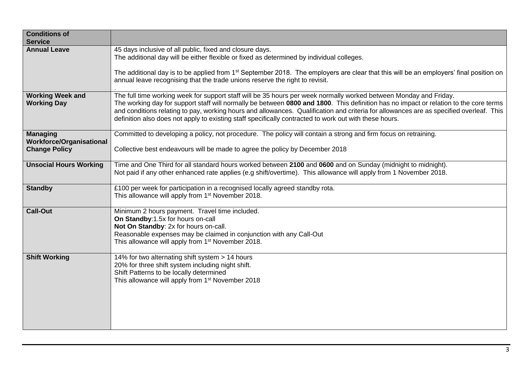| <b>Conditions of</b><br><b>Service</b>                                     |                                                                                                                                                                                                                                                                                                                                                                                                                                                                                                                 |
|----------------------------------------------------------------------------|-----------------------------------------------------------------------------------------------------------------------------------------------------------------------------------------------------------------------------------------------------------------------------------------------------------------------------------------------------------------------------------------------------------------------------------------------------------------------------------------------------------------|
| <b>Annual Leave</b>                                                        | 45 days inclusive of all public, fixed and closure days.<br>The additional day will be either flexible or fixed as determined by individual colleges.                                                                                                                                                                                                                                                                                                                                                           |
|                                                                            | The additional day is to be applied from 1 <sup>st</sup> September 2018. The employers are clear that this will be an employers' final position on<br>annual leave recognising that the trade unions reserve the right to revisit.                                                                                                                                                                                                                                                                              |
| <b>Working Week and</b><br><b>Working Day</b>                              | The full time working week for support staff will be 35 hours per week normally worked between Monday and Friday.<br>The working day for support staff will normally be between 0800 and 1800. This definition has no impact or relation to the core terms<br>and conditions relating to pay, working hours and allowances. Qualification and criteria for allowances are as specified overleaf. This<br>definition also does not apply to existing staff specifically contracted to work out with these hours. |
| <b>Managing</b><br><b>Workforce/Organisational</b><br><b>Change Policy</b> | Committed to developing a policy, not procedure. The policy will contain a strong and firm focus on retraining.<br>Collective best endeavours will be made to agree the policy by December 2018                                                                                                                                                                                                                                                                                                                 |
| <b>Unsocial Hours Working</b>                                              | Time and One Third for all standard hours worked between 2100 and 0600 and on Sunday (midnight to midnight).<br>Not paid if any other enhanced rate applies (e.g shift/overtime). This allowance will apply from 1 November 2018.                                                                                                                                                                                                                                                                               |
| <b>Standby</b>                                                             | £100 per week for participation in a recognised locally agreed standby rota.<br>This allowance will apply from 1 <sup>st</sup> November 2018.                                                                                                                                                                                                                                                                                                                                                                   |
| <b>Call-Out</b>                                                            | Minimum 2 hours payment. Travel time included.<br>On Standby:1.5x for hours on-call<br>Not On Standby: 2x for hours on-call.<br>Reasonable expenses may be claimed in conjunction with any Call-Out<br>This allowance will apply from 1 <sup>st</sup> November 2018.                                                                                                                                                                                                                                            |
| <b>Shift Working</b>                                                       | 14% for two alternating shift system > 14 hours<br>20% for three shift system including night shift.<br>Shift Patterns to be locally determined<br>This allowance will apply from 1 <sup>st</sup> November 2018                                                                                                                                                                                                                                                                                                 |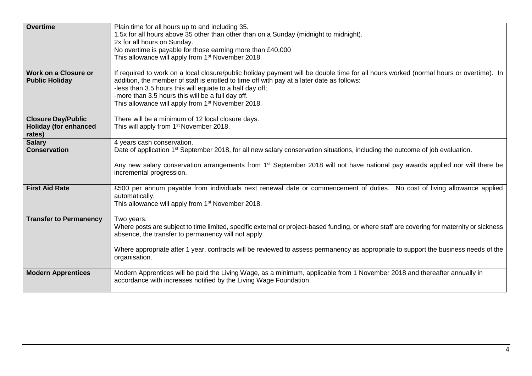| <b>Overtime</b>                                      | Plain time for all hours up to and including 35.                                                                                                                                                                                    |
|------------------------------------------------------|-------------------------------------------------------------------------------------------------------------------------------------------------------------------------------------------------------------------------------------|
|                                                      | 1.5x for all hours above 35 other than other than on a Sunday (midnight to midnight).<br>2x for all hours on Sunday.                                                                                                                |
|                                                      | No overtime is payable for those earning more than £40,000                                                                                                                                                                          |
|                                                      | This allowance will apply from 1 <sup>st</sup> November 2018.                                                                                                                                                                       |
|                                                      |                                                                                                                                                                                                                                     |
| <b>Work on a Closure or</b><br><b>Public Holiday</b> | If required to work on a local closure/public holiday payment will be double time for all hours worked (normal hours or overtime). In<br>addition, the member of staff is entitled to time off with pay at a later date as follows: |
|                                                      | -less than 3.5 hours this will equate to a half day off;                                                                                                                                                                            |
|                                                      | -more than 3.5 hours this will be a full day off.                                                                                                                                                                                   |
|                                                      | This allowance will apply from 1 <sup>st</sup> November 2018.                                                                                                                                                                       |
| <b>Closure Day/Public</b>                            | There will be a minimum of 12 local closure days.                                                                                                                                                                                   |
| <b>Holiday (for enhanced</b>                         | This will apply from 1 <sup>st</sup> November 2018.                                                                                                                                                                                 |
| rates)                                               |                                                                                                                                                                                                                                     |
| <b>Salary</b>                                        | 4 years cash conservation.                                                                                                                                                                                                          |
| <b>Conservation</b>                                  | Date of application 1 <sup>st</sup> September 2018, for all new salary conservation situations, including the outcome of job evaluation.                                                                                            |
|                                                      | Any new salary conservation arrangements from 1 <sup>st</sup> September 2018 will not have national pay awards applied nor will there be                                                                                            |
|                                                      | incremental progression.                                                                                                                                                                                                            |
|                                                      |                                                                                                                                                                                                                                     |
| <b>First Aid Rate</b>                                | £500 per annum payable from individuals next renewal date or commencement of duties. No cost of living allowance applied<br>automatically.                                                                                          |
|                                                      | This allowance will apply from 1 <sup>st</sup> November 2018.                                                                                                                                                                       |
|                                                      |                                                                                                                                                                                                                                     |
| <b>Transfer to Permanency</b>                        | Two years.                                                                                                                                                                                                                          |
|                                                      | Where posts are subject to time limited, specific external or project-based funding, or where staff are covering for maternity or sickness<br>absence, the transfer to permanency will not apply.                                   |
|                                                      |                                                                                                                                                                                                                                     |
|                                                      | Where appropriate after 1 year, contracts will be reviewed to assess permanency as appropriate to support the business needs of the                                                                                                 |
|                                                      | organisation.                                                                                                                                                                                                                       |
| <b>Modern Apprentices</b>                            | Modern Apprentices will be paid the Living Wage, as a minimum, applicable from 1 November 2018 and thereafter annually in                                                                                                           |
|                                                      | accordance with increases notified by the Living Wage Foundation.                                                                                                                                                                   |
|                                                      |                                                                                                                                                                                                                                     |